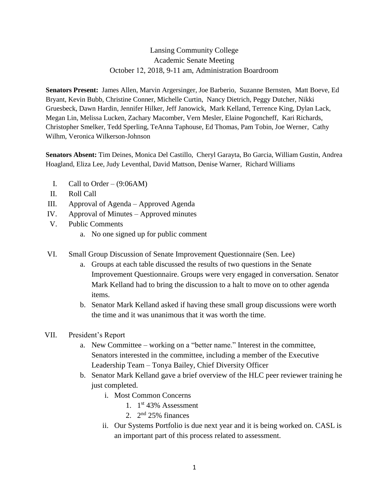## Lansing Community College Academic Senate Meeting October 12, 2018, 9-11 am, Administration Boardroom

**Senators Present:** James Allen, Marvin Argersinger, Joe Barberio, Suzanne Bernsten, Matt Boeve, Ed Bryant, Kevin Bubb, Christine Conner, Michelle Curtin, Nancy Dietrich, Peggy Dutcher, Nikki Gruesbeck, Dawn Hardin, Jennifer Hilker, Jeff Janowick, Mark Kelland, Terrence King, Dylan Lack, Megan Lin, Melissa Lucken, Zachary Macomber, Vern Mesler, Elaine Pogoncheff, Kari Richards, Christopher Smelker, Tedd Sperling, TeAnna Taphouse, Ed Thomas, Pam Tobin, Joe Werner, Cathy Wilhm, Veronica Wilkerson-Johnson

**Senators Absent:** Tim Deines, Monica Del Castillo, Cheryl Garayta, Bo Garcia, William Gustin, Andrea Hoagland, Eliza Lee, Judy Leventhal, David Mattson, Denise Warner, Richard Williams

- I. Call to Order  $(9:06AM)$
- II. Roll Call
- III. Approval of Agenda Approved Agenda
- IV. Approval of Minutes Approved minutes
- V. Public Comments
	- a. No one signed up for public comment
- VI. Small Group Discussion of Senate Improvement Questionnaire (Sen. Lee)
	- a. Groups at each table discussed the results of two questions in the Senate Improvement Questionnaire. Groups were very engaged in conversation. Senator Mark Kelland had to bring the discussion to a halt to move on to other agenda items.
	- b. Senator Mark Kelland asked if having these small group discussions were worth the time and it was unanimous that it was worth the time.
- VII. President's Report
	- a. New Committee working on a "better name." Interest in the committee, Senators interested in the committee, including a member of the Executive Leadership Team – Tonya Bailey, Chief Diversity Officer
	- b. Senator Mark Kelland gave a brief overview of the HLC peer reviewer training he just completed.
		- i. Most Common Concerns
			- 1. 1 st 43% Assessment
			- 2.  $2<sup>nd</sup> 25%$  finances
		- ii. Our Systems Portfolio is due next year and it is being worked on. CASL is an important part of this process related to assessment.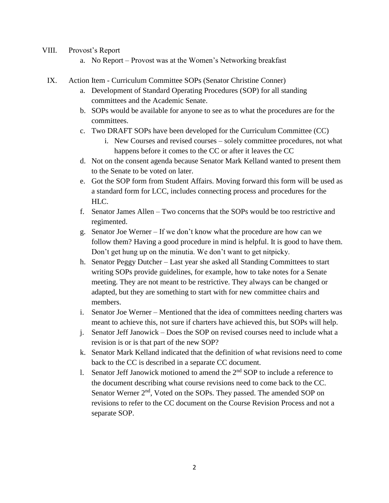- VIII. Provost's Report
	- a. No Report Provost was at the Women's Networking breakfast
- IX. Action Item Curriculum Committee SOPs (Senator Christine Conner)
	- a. Development of Standard Operating Procedures (SOP) for all standing committees and the Academic Senate.
	- b. SOPs would be available for anyone to see as to what the procedures are for the committees.
	- c. Two DRAFT SOPs have been developed for the Curriculum Committee (CC)
		- i. New Courses and revised courses solely committee procedures, not what happens before it comes to the CC or after it leaves the CC
	- d. Not on the consent agenda because Senator Mark Kelland wanted to present them to the Senate to be voted on later.
	- e. Got the SOP form from Student Affairs. Moving forward this form will be used as a standard form for LCC, includes connecting process and procedures for the  $HLC$ .
	- f. Senator James Allen Two concerns that the SOPs would be too restrictive and regimented.
	- g. Senator Joe Werner If we don't know what the procedure are how can we follow them? Having a good procedure in mind is helpful. It is good to have them. Don't get hung up on the minutia. We don't want to get nitpicky.
	- h. Senator Peggy Dutcher Last year she asked all Standing Committees to start writing SOPs provide guidelines, for example, how to take notes for a Senate meeting. They are not meant to be restrictive. They always can be changed or adapted, but they are something to start with for new committee chairs and members.
	- i. Senator Joe Werner Mentioned that the idea of committees needing charters was meant to achieve this, not sure if charters have achieved this, but SOPs will help.
	- j. Senator Jeff Janowick Does the SOP on revised courses need to include what a revision is or is that part of the new SOP?
	- k. Senator Mark Kelland indicated that the definition of what revisions need to come back to the CC is described in a separate CC document.
	- 1. Senator Jeff Janowick motioned to amend the  $2<sup>nd</sup>$  SOP to include a reference to the document describing what course revisions need to come back to the CC. Senator Werner 2<sup>nd</sup>, Voted on the SOPs. They passed. The amended SOP on revisions to refer to the CC document on the Course Revision Process and not a separate SOP.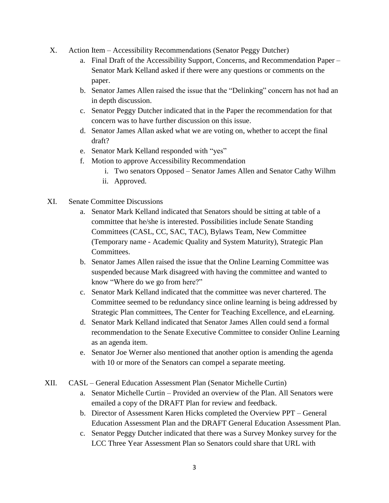- X. Action Item Accessibility Recommendations (Senator Peggy Dutcher)
	- a. Final Draft of the Accessibility Support, Concerns, and Recommendation Paper Senator Mark Kelland asked if there were any questions or comments on the paper.
	- b. Senator James Allen raised the issue that the "Delinking" concern has not had an in depth discussion.
	- c. Senator Peggy Dutcher indicated that in the Paper the recommendation for that concern was to have further discussion on this issue.
	- d. Senator James Allan asked what we are voting on, whether to accept the final draft?
	- e. Senator Mark Kelland responded with "yes"
	- f. Motion to approve Accessibility Recommendation
		- i. Two senators Opposed Senator James Allen and Senator Cathy Wilhm
		- ii. Approved.
- XI. Senate Committee Discussions
	- a. Senator Mark Kelland indicated that Senators should be sitting at table of a committee that he/she is interested. Possibilities include Senate Standing Committees (CASL, CC, SAC, TAC), Bylaws Team, New Committee (Temporary name - Academic Quality and System Maturity), Strategic Plan Committees.
	- b. Senator James Allen raised the issue that the Online Learning Committee was suspended because Mark disagreed with having the committee and wanted to know "Where do we go from here?"
	- c. Senator Mark Kelland indicated that the committee was never chartered. The Committee seemed to be redundancy since online learning is being addressed by Strategic Plan committees, The Center for Teaching Excellence, and eLearning.
	- d. Senator Mark Kelland indicated that Senator James Allen could send a formal recommendation to the Senate Executive Committee to consider Online Learning as an agenda item.
	- e. Senator Joe Werner also mentioned that another option is amending the agenda with 10 or more of the Senators can compel a separate meeting.
- XII. CASL General Education Assessment Plan (Senator Michelle Curtin)
	- a. Senator Michelle Curtin Provided an overview of the Plan. All Senators were emailed a copy of the DRAFT Plan for review and feedback.
	- b. Director of Assessment Karen Hicks completed the Overview PPT General Education Assessment Plan and the DRAFT General Education Assessment Plan.
	- c. Senator Peggy Dutcher indicated that there was a Survey Monkey survey for the LCC Three Year Assessment Plan so Senators could share that URL with